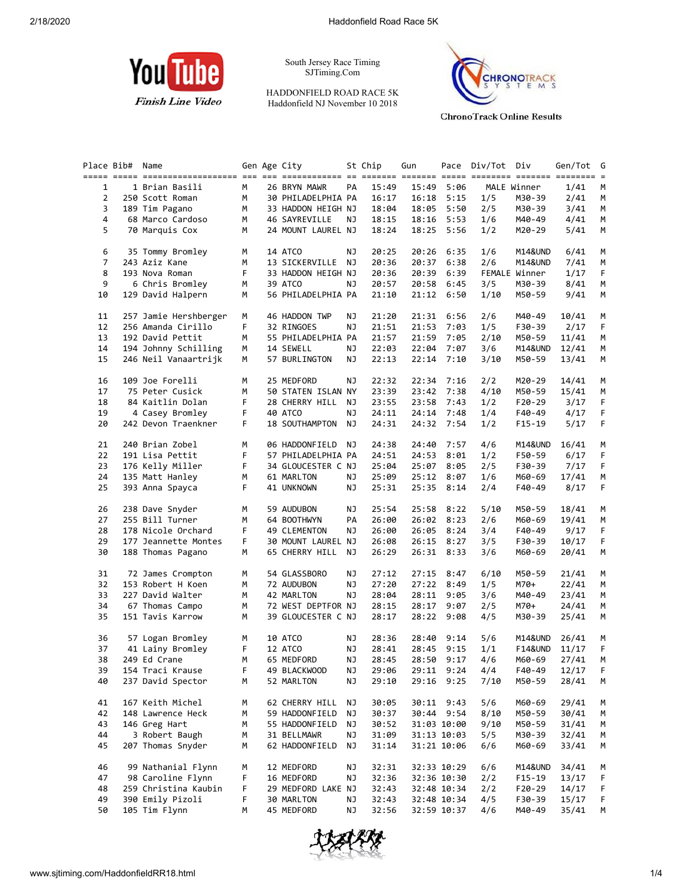

South Jersey Race Timing SJTiming.Com

HADDONFIELD ROAD RACE 5K Haddonfield NJ November 10 2018



**ChronoTrack Online Results** 

|                | Place Bib# | Name                                                                                                   |    | Gen Age City       |     | St Chip | Gun         |             | Pace Div/Tot Div |               | Gen/Tot | G           |
|----------------|------------|--------------------------------------------------------------------------------------------------------|----|--------------------|-----|---------|-------------|-------------|------------------|---------------|---------|-------------|
|                |            | <u>soor soor approborroorroors are oor opproborses as andere soores ache acheeres approb anderes a</u> |    |                    |     |         |             |             |                  |               |         |             |
| $\mathbf{1}$   |            | 1 Brian Basili                                                                                         | M  | 26 BRYN MAWR       | PA  | 15:49   | 15:49       | 5:06        |                  | MALE Winner   | 1/41    | М           |
| $\overline{2}$ |            | 250 Scott Roman                                                                                        | М  | 30 PHILADELPHIA PA |     | 16:17   | 16:18       | 5:15        | 1/5              | M30-39        | 2/41    | М           |
| 3              |            | 189 Tim Pagano                                                                                         | М  | 33 HADDON HEIGH NJ |     | 18:04   | 18:05       | 5:50        | 2/5              | M30-39        | 3/41    | М           |
| 4              |            | 68 Marco Cardoso                                                                                       | М  | 46 SAYREVILLE      | ΝJ  | 18:15   | 18:16       | 5:53        | 1/6              | M40-49        | 4/41    | M           |
| 5              |            | 70 Marquis Cox                                                                                         | м  | 24 MOUNT LAUREL NJ |     | 18:24   | 18:25       | 5:56        | 1/2              | M20-29        | 5/41    | M           |
|                |            |                                                                                                        |    |                    |     |         |             |             |                  |               |         |             |
| 6              |            | 35 Tommy Bromley                                                                                       | М  | 14 ATCO            | ΝJ  | 20:25   | 20:26       | 6:35        | 1/6              | M14&UND       | 6/41    | M           |
| 7              |            | 243 Aziz Kane                                                                                          | М  | 13 SICKERVILLE NJ  |     | 20:36   | 20:37       | 6:38        | 2/6              | M14&UND       | 7/41    | M           |
| 8              |            | 193 Nova Roman                                                                                         | F. | 33 HADDON HEIGH NJ |     | 20:36   | 20:39       | 6:39        |                  | FEMALE Winner | 1/17    | F.          |
| 9              |            | 6 Chris Bromley                                                                                        | М  | 39 ATCO            | ΝJ  | 20:57   | 20:58       | 6:45        | 3/5              | M30-39        | 8/41    | M           |
| 10             |            | 129 David Halpern                                                                                      | М  | 56 PHILADELPHIA PA |     | 21:10   |             | 21:12 6:50  | 1/10             | M50-59        | 9/41    | M           |
|                |            |                                                                                                        |    |                    |     |         |             |             |                  |               |         |             |
| 11             |            | 257 Jamie Hershberger                                                                                  | М  | 46 HADDON TWP      | ΝJ  | 21:20   | 21:31       | 6:56        | 2/6              | M40-49        | 10/41   | M           |
| 12             |            | 256 Amanda Cirillo                                                                                     | F  | 32 RINGOES         | ΝJ  | 21:51   | 21:53       | 7:03        | 1/5              | F30-39        | 2/17    | F           |
| 13             |            | 192 David Pettit                                                                                       | M  | 55 PHILADELPHIA PA |     | 21:57   | 21:59       | 7:05        | 2/10             | M50-59        | 11/41   | М           |
| 14             |            | 194 Johnny Schilling                                                                                   | М  | 14 SEWELL          | ΝJ  | 22:03   | 22:04       | 7:07        | 3/6              | M14&UND       | 12/41   | М           |
| 15             |            | 246 Neil Vanaartrijk                                                                                   | м  | 57 BURLINGTON      | ΝJ  | 22:13   | 22:14       | 7:10        | 3/10             | M50-59        | 13/41   | М           |
|                |            |                                                                                                        |    |                    |     |         |             |             |                  |               |         |             |
| 16             |            | 109 Joe Forelli                                                                                        | М  | 25 MEDFORD         | ΝJ  | 22:32   | 22:34       | 7:16        | 2/2              | M20-29        | 14/41   | М           |
| 17             |            | 75 Peter Cusick                                                                                        | м  | 50 STATEN ISLAN NY |     | 23:39   | 23:42       | 7:38        | 4/10             | M50-59        | 15/41   | М           |
| 18             |            | 84 Kaitlin Dolan                                                                                       | F  | 28 CHERRY HILL     | NJ  | 23:55   | 23:58       | 7:43        | 1/2              | $F20-29$      | 3/17    | F           |
| 19             |            | 4 Casey Bromley                                                                                        | F  | 40 ATCO            | ΝJ  | 24:11   | 24:14       | 7:48        | 1/4              | F40-49        | 4/17    | $\mathsf F$ |
| 20             |            | 242 Devon Traenkner                                                                                    | F. | 18 SOUTHAMPTON NJ  |     | 24:31   |             | 24:32 7:54  | 1/2              | $F15-19$      | 5/17    | F.          |
|                |            |                                                                                                        |    |                    |     |         |             |             |                  |               |         |             |
| 21             |            | 240 Brian Zobel                                                                                        | М  | 06 HADDONFIELD NJ  |     | 24:38   | 24:40       | 7:57        | 4/6              | M14&UND       | 16/41   | M           |
| 22             |            | 191 Lisa Pettit                                                                                        | F  | 57 PHILADELPHIA PA |     | 24:51   | 24:53       | 8:01        | 1/2              | F50-59        | 6/17    | F           |
| 23             |            | 176 Kelly Miller                                                                                       | F  | 34 GLOUCESTER C NJ |     | 25:04   | 25:07       | 8:05        | 2/5              | F30-39        | 7/17    | F           |
| 24             |            | 135 Matt Hanley                                                                                        | М  | 61 MARLTON         | NJ  | 25:09   |             | 25:12 8:07  | 1/6              | M60-69        | 17/41   | M           |
| 25             |            |                                                                                                        | F. |                    |     |         |             |             |                  |               |         | F           |
|                |            | 393 Anna Spayca                                                                                        |    | 41 UNKNOWN         | ΝJ  | 25:31   | 25:35       | 8:14        | 2/4              | F40-49        | 8/17    |             |
| 26             |            | 238 Dave Snyder                                                                                        | М  | 59 AUDUBON         | NJ  | 25:54   |             | 25:58 8:22  | 5/10             | M50-59        | 18/41   | M           |
| 27             |            | 255 Bill Turner                                                                                        | М  | 64 BOOTHWYN        | PA  | 26:00   |             | 26:02 8:23  | 2/6              | M60-69        | 19/41   | М           |
| 28             |            | 178 Nicole Orchard                                                                                     | F. | 49 CLEMENTON       | ΝJ  | 26:00   | 26:05       | 8:24        | 3/4              | F40-49        | 9/17    | F           |
| 29             |            | 177 Jeannette Montes                                                                                   | F  | 30 MOUNT LAUREL NJ |     | 26:08   |             | 26:15 8:27  | 3/5              | F30-39        | 10/17   | F.          |
| 30             |            | 188 Thomas Pagano                                                                                      | М  | 65 CHERRY HILL NJ  |     | 26:29   |             | 26:31 8:33  | 3/6              | M60-69        | 20/41   | М           |
|                |            |                                                                                                        |    |                    |     |         |             |             |                  |               |         |             |
| 31             |            | 72 James Crompton                                                                                      | М  | 54 GLASSBORO       | ΝJ  | 27:12   | 27:15       | 8:47        | 6/10             | M50-59        | 21/41   | М           |
| 32             |            | 153 Robert H Koen                                                                                      | М  | 72 AUDUBON         | ΝJ  | 27:20   | 27:22       | 8:49        | 1/5              | M70+          | 22/41   | М           |
| 33             |            | 227 David Walter                                                                                       | М  | 42 MARLTON         | NJ  | 28:04   | 28:11       | 9:05        | 3/6              | M40-49        | 23/41   | М           |
| 34             |            | 67 Thomas Campo                                                                                        | М  | 72 WEST DEPTFOR NJ |     | 28:15   |             | 28:17 9:07  | 2/5              | M70+          | 24/41   | М           |
| 35             |            | 151 Tavis Karrow                                                                                       | м  | 39 GLOUCESTER C NJ |     | 28:17   |             | 28:22 9:08  | 4/5              | M30-39        | 25/41   | М           |
|                |            |                                                                                                        |    |                    |     |         |             |             |                  |               |         |             |
| 36             |            | 57 Logan Bromley                                                                                       | М  | 10 ATCO            | NJ  | 28:36   | 28:40       | 9:14        | 5/6              | M14&UND       | 26/41   | M           |
| 37             |            | 41 Lainy Bromley                                                                                       | F  | 12 ATCO            | ΝJ  | 28:41   | 28:45       | 9:15        | 1/1              | F14&UND       | 11/17   | F.          |
| 38             |            | 249 Ed Crane                                                                                           | M  | 65 MEDFORD         | NJ. | 28:45   |             | 28:50 9:17  | 4/6              | M60-69        | 27/41   | M           |
| 39             |            | 154 Traci Krause                                                                                       |    | F 49 BLACKWOOD NJ  |     | 29:06   |             | 29:11 9:24  | 4/4              | F40-49        | 12/17 F |             |
| 40             |            | 237 David Spector                                                                                      | м  | 52 MARLTON         | ΝJ  | 29:10   | 29:16 9:25  |             | 7/10             | M50-59        | 28/41   | М           |
|                |            |                                                                                                        |    |                    |     |         |             |             |                  |               |         |             |
| 41             |            | 167 Keith Michel                                                                                       | м  | 62 CHERRY HILL     | ΝJ  | 30:05   |             | 30:11 9:43  | 5/6              | M60-69        | 29/41   | M           |
| 42             |            | 148 Lawrence Heck                                                                                      | м  | 59 HADDONFIELD     | ΝJ  | 30:37   |             | 30:44 9:54  | 8/10             | M50-59        | 30/41   | М           |
| 43             |            | 146 Greg Hart                                                                                          | м  | 55 HADDONFIELD     | ΝJ  | 30:52   | 31:03 10:00 |             | 9/10             | M50-59        | 31/41   | M           |
| 44             |            | 3 Robert Baugh                                                                                         | м  | 31 BELLMAWR        | ΝJ  | 31:09   |             | 31:13 10:03 | 5/5              | M30-39        | 32/41   | M           |
| 45             |            | 207 Thomas Snyder                                                                                      | м  | 62 HADDONFIELD     | ΝJ  | 31:14   |             | 31:21 10:06 | 6/6              | M60-69        | 33/41   | M           |
|                |            |                                                                                                        |    |                    |     |         |             |             |                  |               |         |             |
| 46             |            | 99 Nathanial Flynn                                                                                     | М  | 12 MEDFORD         | ΝJ  | 32:31   |             | 32:33 10:29 | 6/6              | M14&UND       | 34/41   | M           |
| 47             |            | 98 Caroline Flynn                                                                                      | F  | 16 MEDFORD         | ΝJ  | 32:36   |             | 32:36 10:30 | 2/2              | F15-19        | 13/17   | F           |
| 48             |            | 259 Christina Kaubin                                                                                   | F  | 29 MEDFORD LAKE NJ |     | 32:43   |             | 32:48 10:34 | 2/2              | $F20-29$      | 14/17   | F           |
| 49             |            | 390 Emily Pizoli                                                                                       | F  | 30 MARLTON         | ΝJ  | 32:43   |             | 32:48 10:34 | 4/5              | F30-39        | 15/17   | F           |
| 50             |            | 105 Tim Flynn                                                                                          | м  | 45 MEDFORD         | ΝJ  | 32:56   |             | 32:59 10:37 | 4/6              | M40-49        | 35/41   | М           |
|                |            |                                                                                                        |    |                    |     |         |             |             |                  |               |         |             |

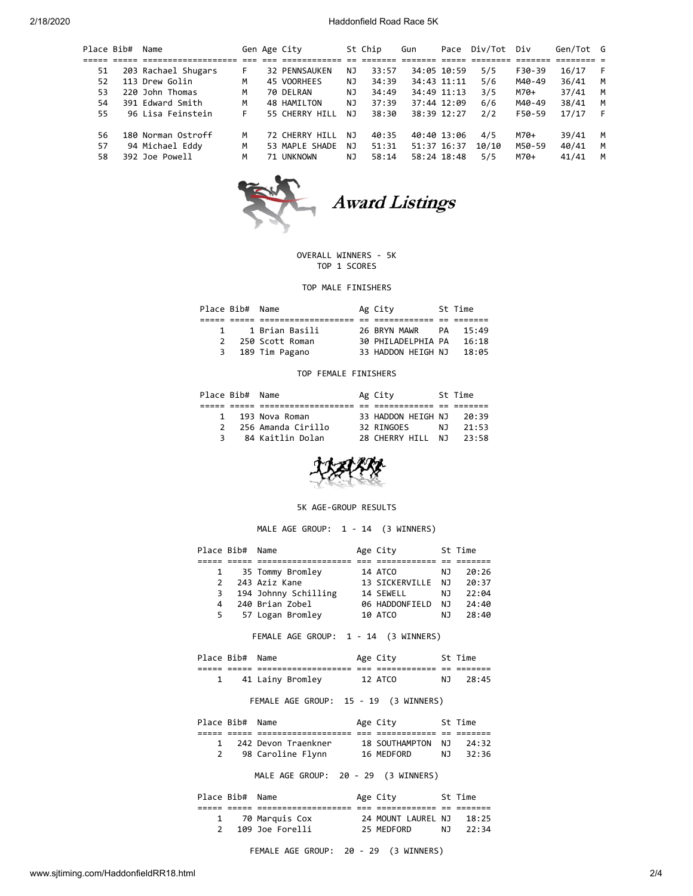2/18/2020 Haddonfield Road Race 5K

| Place Bib# | Name                |    | Gen Age City         |     | St Chip | Gun         | Pace        | Div/Tot | Div    | Gen/Tot G |   |
|------------|---------------------|----|----------------------|-----|---------|-------------|-------------|---------|--------|-----------|---|
|            |                     |    |                      |     |         |             |             |         |        |           |   |
| 51         | 203 Rachael Shugars | F. | <b>32 PENNSAUKEN</b> | NJ  | 33:57   |             | 34:05 10:59 | 5/5     | F30-39 | 16/17     |   |
| 52         | 113 Drew Golin      | м  | 45 VOORHEES          | ΝJ  | 34:39   | 34:43 11:11 |             | 5/6     | M40-49 | 36/41     | M |
| 53         | 220 John Thomas     | м  | 70 DELRAN            | ΝJ  | 34:49   |             | 34:49 11:13 | 3/5     | M70+   | 37/41     | M |
| 54         | 391 Edward Smith    | м  | 48 HAMILTON          | ΝJ  | 37:39   |             | 37:44 12:09 | 6/6     | M40-49 | 38/41     | M |
| 55         | 96 Lisa Feinstein   | F. | 55 CHERRY HILL       | NJ. | 38:30   |             | 38:39 12:27 | 2/2     | F50-59 | 17/17     |   |
| 56         | 180 Norman Ostroff  | м  | 72 CHERRY HILL       | NJ  | 40:35   |             | 40:40 13:06 | 4/5     | M70+   | 39/41     | M |
| 57         | 94 Michael Eddy     | M  | 53 MAPLE SHADE       | NJ  | 51:31   |             | 51:37 16:37 | 10/10   | M50-59 | 40/41     | M |
| 58         | 392 Joe Powell      | м  | 71 UNKNOWN           | NJ  | 58:14   |             | 58:24 18:48 | 5/5     | M70+   | 41/41     | M |



Award Listings

## OVERALL WINNERS - 5K TOP 1 SCORES

TOP MALE FINISHERS

| Place Bib# Name |                   | Ag City            | St Time |
|-----------------|-------------------|--------------------|---------|
|                 |                   |                    |         |
|                 | 1 1 Brian Basili  | 26 BRYN MAWR PA    | 15:49   |
|                 | 2 250 Scott Roman | 30 PHILADELPHIA PA | 16:18   |
|                 | 3 189 Tim Pagano  | 33 HADDON HEIGH NJ | 18:05   |

### TOP FEMALE FINISHERS

| Place Bib# Name |                    | Ag City            |     | St Time |
|-----------------|--------------------|--------------------|-----|---------|
|                 |                    |                    |     |         |
| 1               | 193 Nova Roman     | 33 HADDON HEIGH NJ |     | 20:39   |
| $\mathcal{P}$   | 256 Amanda Cirillo | 32 RINGOES         | NJ. | 21:53   |
| 3               | 84 Kaitlin Dolan   | 28 CHERRY HTII NJ  |     | 23:58   |



#### 5K AGE-GROUP RESULTS

MALE AGE GROUP: 1 - 14 (3 WINNERS)

|               | Place Bib# Name |                      | Age City       |     | St Time |  |
|---------------|-----------------|----------------------|----------------|-----|---------|--|
|               |                 |                      |                |     |         |  |
|               |                 | 35 Tommy Bromley     | 14 ATCO        | ΝJ  | 20:26   |  |
| $\mathcal{P}$ |                 | 243 Aziz Kane        | 13 SICKERVILLE | NJ. | 20:37   |  |
| 3             |                 | 194 Johnny Schilling | 14 SEWELL      | NJ  | 22:04   |  |
| 4             |                 | 240 Brian Zobel      | 06 HADDONFIELD | NJ. | 24:40   |  |
| 5.            |                 | 57 Logan Bromley     | 10 ATCO        | NJ  | 28:40   |  |
|               |                 |                      |                |     |         |  |

FEMALE AGE GROUP: 1 - 14 (3 WINNERS)

|                | Place Bib# | Name                                                       |            | Age City     |               | St Time |  |
|----------------|------------|------------------------------------------------------------|------------|--------------|---------------|---------|--|
| _____<br>----- | ---<br>--- | . _ _ _ _ _ _ _ _ _ _ _ _ _ _ _ _ _<br>___________________ | ---<br>___ | ____________ | $- -$<br>$ -$ | ------- |  |
|                |            | 41 Lainy Bromley                                           |            | 12 ATCO      | NJ            | 28:45   |  |

# FEMALE AGE GROUP: 15 - 19 (3 WINNERS)

| Place Bib# Name |                     | Age City          |     | St Time |
|-----------------|---------------------|-------------------|-----|---------|
|                 |                     |                   |     |         |
|                 | 242 Devon Traenkner | 18 SOUTHAMPTON NJ |     | 24:32   |
|                 | 98 Caroline Flynn   | 16 MEDFORD        | NJ. | 32:36   |

MALE AGE GROUP: 20 - 29 (3 WINNERS)

| Place Bib# Name |                  | Age City           |     | St Time |
|-----------------|------------------|--------------------|-----|---------|
|                 |                  |                    |     |         |
|                 | 1 70 Marquis Cox | 24 MOUNT LAUREL NJ |     | 18:25   |
|                 | 109 Joe Forelli  | 25 MEDFORD         | N J | 22:34   |

FEMALE AGE GROUP: 20 - 29 (3 WINNERS)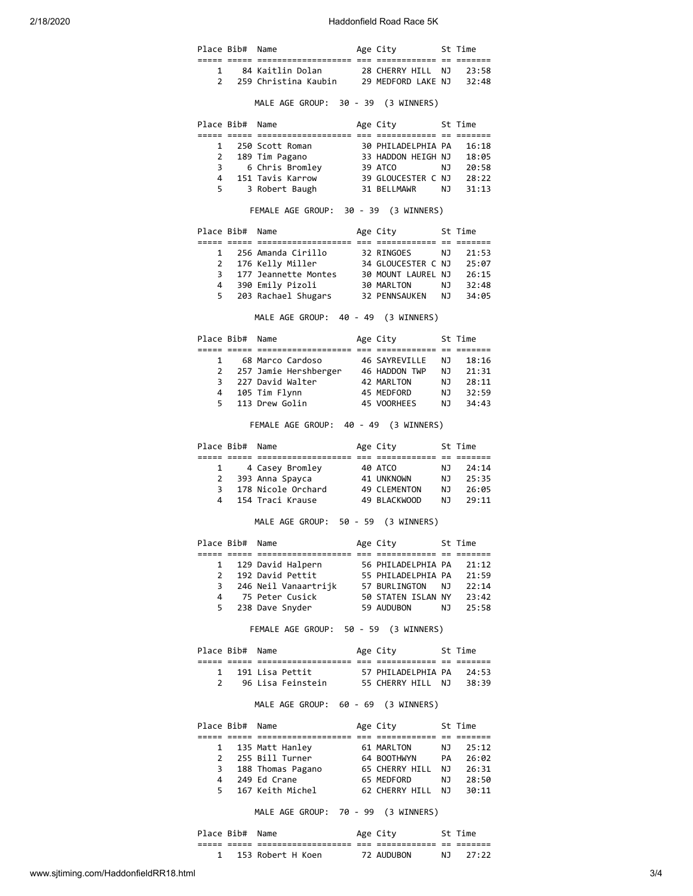2/18/2020 Haddonfield Road Race 5K

|    | Place Bib# Name |                                                                                                                                                                                                                    | St Time<br>Age City    |                      |
|----|-----------------|--------------------------------------------------------------------------------------------------------------------------------------------------------------------------------------------------------------------|------------------------|----------------------|
|    |                 |                                                                                                                                                                                                                    |                        |                      |
|    |                 | 1 84 Kaitlin Dolan 28 CHERRY HILL NJ 23:58<br>2 259 Christina Kaubin 29 MEDFORD LAKE NJ 32:48                                                                                                                      |                        |                      |
|    |                 |                                                                                                                                                                                                                    |                        |                      |
|    |                 | MALE AGE GROUP: 30 - 39 (3 WINNERS)                                                                                                                                                                                |                        |                      |
|    | Place Bib# Name |                                                                                                                                                                                                                    | Age City 5t Time       |                      |
|    |                 |                                                                                                                                                                                                                    |                        |                      |
|    |                 |                                                                                                                                                                                                                    |                        |                      |
|    |                 |                                                                                                                                                                                                                    |                        |                      |
|    |                 | 1 250 Scott Roman<br>2 189 Tim Pagano<br>3 6 Chris Bromley<br>3 6 Chris Bromley<br>3 4 151 Tavis Karrow<br>3 6 GLOUCESTER C NJ 28:22                                                                               |                        |                      |
|    | $5^{\circ}$     | 3 Robert Baugh 31 BELLMAWR NJ 31:13                                                                                                                                                                                |                        |                      |
|    |                 | FEMALE AGE GROUP: 30 - 39 (3 WINNERS)                                                                                                                                                                              |                        |                      |
|    | Place Bib# Name |                                                                                                                                                                                                                    | Age City 5t Time       |                      |
|    |                 |                                                                                                                                                                                                                    |                        |                      |
|    |                 | 1 256 Amanda Cirillo 32 RINGOES NJ 21:53                                                                                                                                                                           |                        |                      |
|    |                 |                                                                                                                                                                                                                    |                        |                      |
|    |                 |                                                                                                                                                                                                                    |                        |                      |
|    | 5               | 203 Rachael Shugars 32 PENNSAUKEN NJ 34:05                                                                                                                                                                         |                        |                      |
|    |                 | MALE AGE GROUP: 40 - 49 (3 WINNERS)                                                                                                                                                                                |                        |                      |
|    |                 |                                                                                                                                                                                                                    |                        |                      |
|    |                 | Place Bib# Name                                                                                                                                                                                                    | Age City 5t Time       |                      |
|    |                 | 1 68 Marco Cardoso                                                                                                                                                                                                 | 46 SAYREVILLE NJ 18:16 |                      |
|    |                 | 2 257 Jamie Hershberger<br>2 257 Jamie Hershberger<br>3 227 David Walter<br>4 2 MARLTON NJ 28:11<br>4 105 Tim Flynn 45 MEDFORD NJ 32:59                                                                            |                        |                      |
|    |                 |                                                                                                                                                                                                                    |                        |                      |
|    |                 |                                                                                                                                                                                                                    |                        |                      |
| 5. |                 | 113 Drew Golin                                                                                                                                                                                                     | 45 VOORHEES NJ 34:43   |                      |
|    |                 | FEMALE AGE GROUP: 40 - 49 (3 WINNERS)                                                                                                                                                                              |                        |                      |
|    | Place Bib# Name |                                                                                                                                                                                                                    | Age City               | St Time              |
|    |                 |                                                                                                                                                                                                                    |                        |                      |
| 1  |                 | 4 Casey Bromley         40 ATCO<br>3 Anna Spayca          41 UNKNOWN<br>2 393 Anna Spayca                                                                                                                          |                        | NJ 24:14<br>NJ 25:35 |
|    |                 | 3 178 Nicole Orchard 49 CLEMENTON NJ 26:05                                                                                                                                                                         |                        |                      |
| 4  |                 | 154 Traci Krause 49 BLACKWOOD NJ 29:11                                                                                                                                                                             |                        |                      |
|    |                 | MALE AGE GROUP: 50 - 59 (3 WINNERS)                                                                                                                                                                                |                        |                      |
|    | Place Bib# Name |                                                                                                                                                                                                                    | Age City               | St Time              |
|    |                 |                                                                                                                                                                                                                    |                        |                      |
|    |                 |                                                                                                                                                                                                                    |                        |                      |
|    |                 |                                                                                                                                                                                                                    |                        |                      |
|    |                 |                                                                                                                                                                                                                    |                        |                      |
|    |                 | 1 129 David Halpern<br>2 192 David Pettit 55 PHILADELPHIA PA 21:12<br>3 246 Neil Vanaartrijk 57 BURLINGTON NJ 22:14<br>4 75 Peter Cusick 50 STATEN ISLAN NY 23:42<br>5 238 Dave Snyder 59 AUDUBON NJ 25:58         |                        |                      |
|    |                 |                                                                                                                                                                                                                    |                        |                      |
|    |                 | FEMALE AGE GROUP: 50 - 59 (3 WINNERS)                                                                                                                                                                              |                        |                      |
|    |                 | Place Bib# Name                                                                                                                                                                                                    | Age City 5t Time       |                      |
|    |                 |                                                                                                                                                                                                                    |                        |                      |
|    |                 | 1 191 Lisa Pettit 57 PHILADELPHIA PA 24:53<br>2 96 Lisa Feinstein 55 CHERRY HILL NJ 38:39                                                                                                                          |                        |                      |
|    |                 | MALE AGE GROUP: 60 - 69 (3 WINNERS)                                                                                                                                                                                |                        |                      |
|    |                 | Place Bib# Name                                                                                                                                                                                                    | Age City 5t Time       |                      |
|    |                 |                                                                                                                                                                                                                    |                        |                      |
|    |                 |                                                                                                                                                                                                                    |                        |                      |
|    |                 |                                                                                                                                                                                                                    |                        |                      |
|    |                 |                                                                                                                                                                                                                    |                        |                      |
|    |                 | 1 135 Matt Hanley 61 MARLTON NJ 25:12<br>2 255 Bill Turner 64 BOOTHWYN PA 26:02<br>3 188 Thomas Pagano 65 CHERRY HILL NJ 26:31<br>4 249 Ed Crane 65 MEDFORD NJ 28:50<br>5 167 Keith Michel 62 CHERRY HILL NJ 30:11 |                        |                      |
|    |                 |                                                                                                                                                                                                                    |                        |                      |
|    |                 | MALE AGE GROUP: 70 - 99 (3 WINNERS)                                                                                                                                                                                |                        |                      |
|    |                 | Place Bib# Name                                                                                                                                                                                                    | Age City 5t Time       |                      |
|    |                 | 1 153 Robert H Koen 72 AUDUBON NJ 27:22                                                                                                                                                                            |                        |                      |